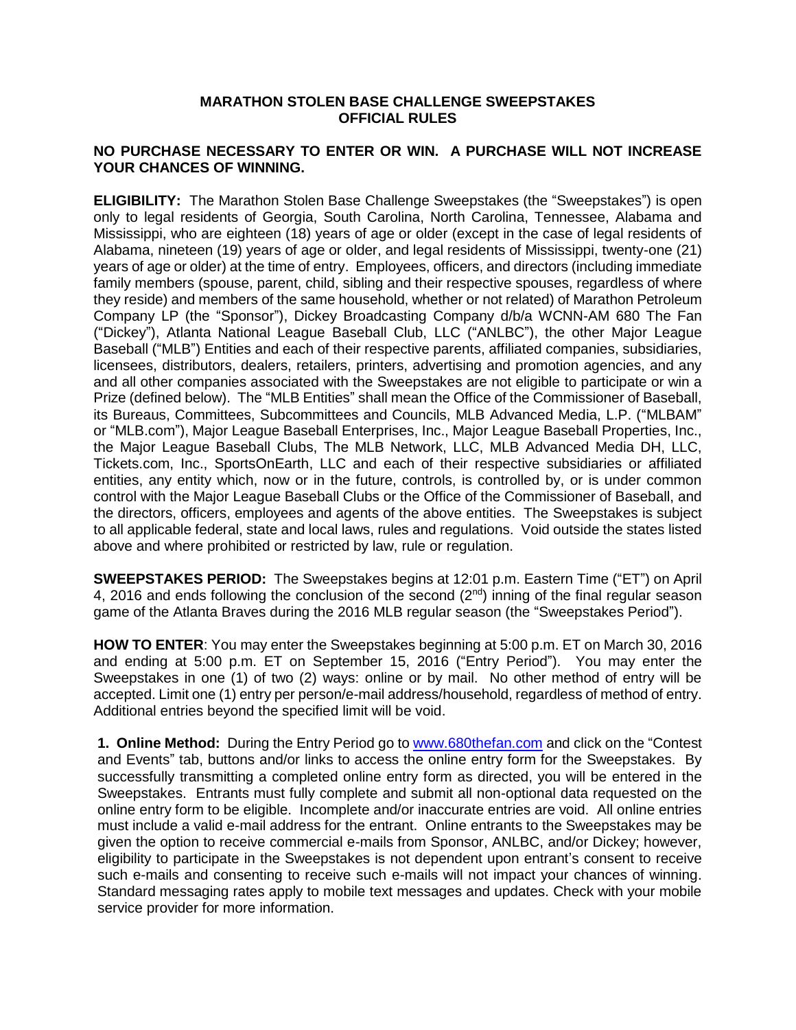## **MARATHON STOLEN BASE CHALLENGE SWEEPSTAKES OFFICIAL RULES**

## **NO PURCHASE NECESSARY TO ENTER OR WIN. A PURCHASE WILL NOT INCREASE YOUR CHANCES OF WINNING.**

**ELIGIBILITY:** The Marathon Stolen Base Challenge Sweepstakes (the "Sweepstakes") is open only to legal residents of Georgia, South Carolina, North Carolina, Tennessee, Alabama and Mississippi, who are eighteen (18) years of age or older (except in the case of legal residents of Alabama, nineteen (19) years of age or older, and legal residents of Mississippi, twenty-one (21) years of age or older) at the time of entry. Employees, officers, and directors (including immediate family members (spouse, parent, child, sibling and their respective spouses, regardless of where they reside) and members of the same household, whether or not related) of Marathon Petroleum Company LP (the "Sponsor"), Dickey Broadcasting Company d/b/a WCNN-AM 680 The Fan ("Dickey"), Atlanta National League Baseball Club, LLC ("ANLBC"), the other Major League Baseball ("MLB") Entities and each of their respective parents, affiliated companies, subsidiaries, licensees, distributors, dealers, retailers, printers, advertising and promotion agencies, and any and all other companies associated with the Sweepstakes are not eligible to participate or win a Prize (defined below). The "MLB Entities" shall mean the Office of the Commissioner of Baseball, its Bureaus, Committees, Subcommittees and Councils, MLB Advanced Media, L.P. ("MLBAM" or "MLB.com"), Major League Baseball Enterprises, Inc., Major League Baseball Properties, Inc., the Major League Baseball Clubs, The MLB Network, LLC, MLB Advanced Media DH, LLC, Tickets.com, Inc., SportsOnEarth, LLC and each of their respective subsidiaries or affiliated entities, any entity which, now or in the future, controls, is controlled by, or is under common control with the Major League Baseball Clubs or the Office of the Commissioner of Baseball, and the directors, officers, employees and agents of the above entities. The Sweepstakes is subject to all applicable federal, state and local laws, rules and regulations. Void outside the states listed above and where prohibited or restricted by law, rule or regulation.

**SWEEPSTAKES PERIOD:** The Sweepstakes begins at 12:01 p.m. Eastern Time ("ET") on April 4, 2016 and ends following the conclusion of the second  $(2^{nd})$  inning of the final regular season game of the Atlanta Braves during the 2016 MLB regular season (the "Sweepstakes Period").

**HOW TO ENTER**: You may enter the Sweepstakes beginning at 5:00 p.m. ET on March 30, 2016 and ending at 5:00 p.m. ET on September 15, 2016 ("Entry Period"). You may enter the Sweepstakes in one (1) of two (2) ways: online or by mail. No other method of entry will be accepted. Limit one (1) entry per person/e-mail address/household, regardless of method of entry. Additional entries beyond the specified limit will be void.

**1. Online Method:** During the Entry Period go to [www.680thefan.com](http://www.680thefan.com/) and click on the "Contest and Events" tab, buttons and/or links to access the online entry form for the Sweepstakes. By successfully transmitting a completed online entry form as directed, you will be entered in the Sweepstakes. Entrants must fully complete and submit all non-optional data requested on the online entry form to be eligible. Incomplete and/or inaccurate entries are void. All online entries must include a valid e-mail address for the entrant. Online entrants to the Sweepstakes may be given the option to receive commercial e-mails from Sponsor, ANLBC, and/or Dickey; however, eligibility to participate in the Sweepstakes is not dependent upon entrant's consent to receive such e-mails and consenting to receive such e-mails will not impact your chances of winning. Standard messaging rates apply to mobile text messages and updates. Check with your mobile service provider for more information.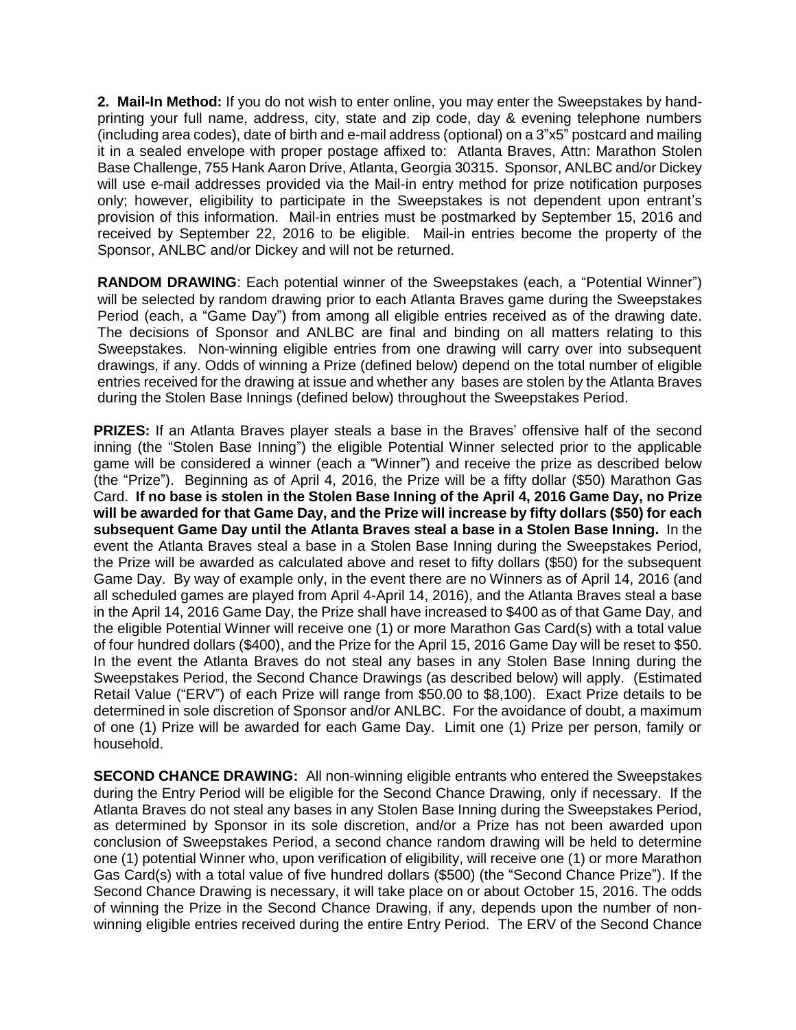**2. Mail-In Method:** If you do not wish to enter online, you may enter the Sweepstakes by handprinting your full name, address, city, state and zip code, day & evening telephone numbers (including area codes), date of birth and e-mail address (optional) on a 3"x5" postcard and mailing it in a sealed envelope with proper postage affixed to: Atlanta Braves, Attn: Marathon Stolen Base Challenge, 755 Hank Aaron Drive, Atlanta, Georgia 30315. Sponsor, ANLBC and/or Dickey will use e-mail addresses provided via the Mail-in entry method for prize notification purposes only; however, eligibility to participate in the Sweepstakes is not dependent upon entrant's provision of this information. Mail-in entries must be postmarked by September 15, 2016 and received by September 22, 2016 to be eligible. Mail-in entries become the property of the Sponsor, ANLBC and/or Dickey and will not be returned.

**RANDOM DRAWING**: Each potential winner of the Sweepstakes (each, a "Potential Winner") will be selected by random drawing prior to each Atlanta Braves game during the Sweepstakes Period (each, a "Game Day") from among all eligible entries received as of the drawing date. The decisions of Sponsor and ANLBC are final and binding on all matters relating to this Sweepstakes. Non-winning eligible entries from one drawing will carry over into subsequent drawings, if any. Odds of winning a Prize (defined below) depend on the total number of eligible entries received for the drawing at issue and whether any bases are stolen by the Atlanta Braves during the Stolen Base Innings (defined below) throughout the Sweepstakes Period.

**PRIZES:** If an Atlanta Braves player steals a base in the Braves' offensive half of the second inning (the "Stolen Base Inning") the eligible Potential Winner selected prior to the applicable game will be considered a winner (each a "Winner") and receive the prize as described below (the "Prize"). Beginning as of April 4, 2016, the Prize will be a fifty dollar (\$50) Marathon Gas Card. **If no base is stolen in the Stolen Base Inning of the April 4, 2016 Game Day, no Prize will be awarded for that Game Day, and the Prize will increase by fifty dollars (\$50) for each subsequent Game Day until the Atlanta Braves steal a base in a Stolen Base Inning.** In the event the Atlanta Braves steal a base in a Stolen Base Inning during the Sweepstakes Period, the Prize will be awarded as calculated above and reset to fifty dollars (\$50) for the subsequent Game Day. By way of example only, in the event there are no Winners as of April 14, 2016 (and all scheduled games are played from April 4-April 14, 2016), and the Atlanta Braves steal a base in the April 14, 2016 Game Day, the Prize shall have increased to \$400 as of that Game Day, and the eligible Potential Winner will receive one (1) or more Marathon Gas Card(s) with a total value of four hundred dollars (\$400), and the Prize for the April 15, 2016 Game Day will be reset to \$50. In the event the Atlanta Braves do not steal any bases in any Stolen Base Inning during the Sweepstakes Period, the Second Chance Drawings (as described below) will apply. (Estimated Retail Value ("ERV") of each Prize will range from \$50.00 to \$8,100). Exact Prize details to be determined in sole discretion of Sponsor and/or ANLBC. For the avoidance of doubt, a maximum of one (1) Prize will be awarded for each Game Day. Limit one (1) Prize per person, family or household.

**SECOND CHANCE DRAWING:** All non-winning eligible entrants who entered the Sweepstakes during the Entry Period will be eligible for the Second Chance Drawing, only if necessary. If the Atlanta Braves do not steal any bases in any Stolen Base Inning during the Sweepstakes Period, as determined by Sponsor in its sole discretion, and/or a Prize has not been awarded upon conclusion of Sweepstakes Period, a second chance random drawing will be held to determine one (1) potential Winner who, upon verification of eligibility, will receive one (1) or more Marathon Gas Card(s) with a total value of five hundred dollars (\$500) (the "Second Chance Prize"). If the Second Chance Drawing is necessary, it will take place on or about October 15, 2016. The odds of winning the Prize in the Second Chance Drawing, if any, depends upon the number of nonwinning eligible entries received during the entire Entry Period. The ERV of the Second Chance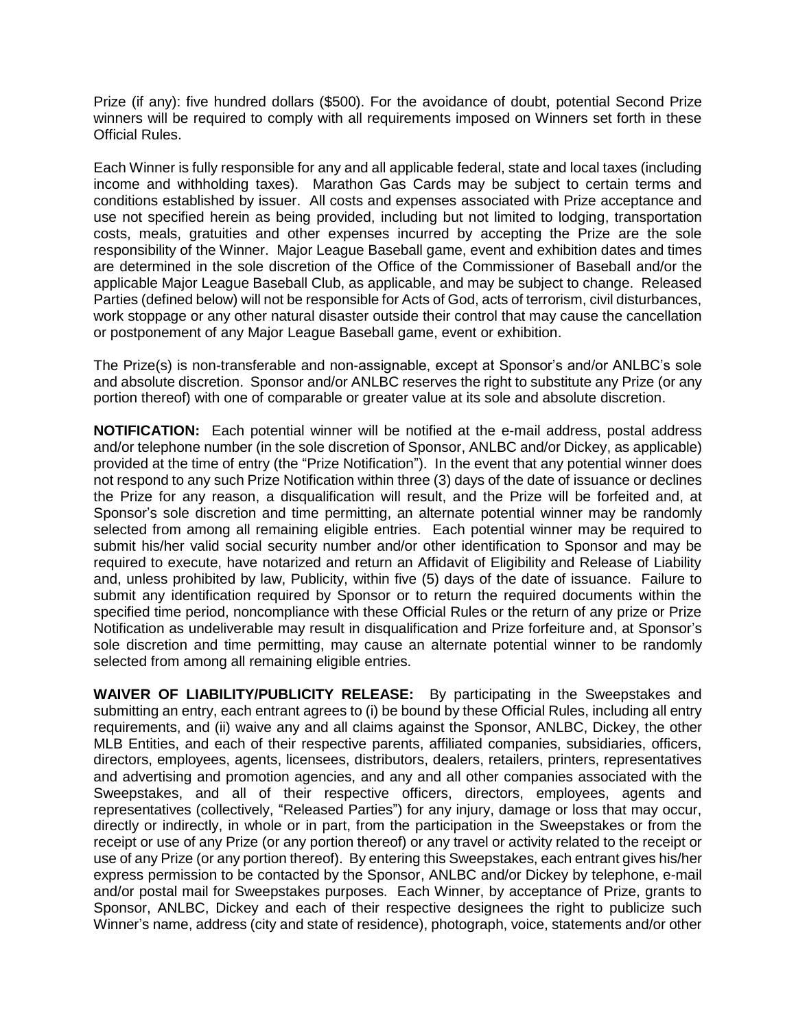Prize (if any): five hundred dollars (\$500). For the avoidance of doubt, potential Second Prize winners will be required to comply with all requirements imposed on Winners set forth in these Official Rules.

Each Winner is fully responsible for any and all applicable federal, state and local taxes (including income and withholding taxes). Marathon Gas Cards may be subject to certain terms and conditions established by issuer.All costs and expenses associated with Prize acceptance and use not specified herein as being provided, including but not limited to lodging, transportation costs, meals, gratuities and other expenses incurred by accepting the Prize are the sole responsibility of the Winner.Major League Baseball game, event and exhibition dates and times are determined in the sole discretion of the Office of the Commissioner of Baseball and/or the applicable Major League Baseball Club, as applicable, and may be subject to change. Released Parties (defined below) will not be responsible for Acts of God, acts of terrorism, civil disturbances, work stoppage or any other natural disaster outside their control that may cause the cancellation or postponement of any Major League Baseball game, event or exhibition.

The Prize(s) is non-transferable and non-assignable, except at Sponsor's and/or ANLBC's sole and absolute discretion. Sponsor and/or ANLBC reserves the right to substitute any Prize (or any portion thereof) with one of comparable or greater value at its sole and absolute discretion.

**NOTIFICATION:** Each potential winner will be notified at the e-mail address, postal address and/or telephone number (in the sole discretion of Sponsor, ANLBC and/or Dickey, as applicable) provided at the time of entry (the "Prize Notification"). In the event that any potential winner does not respond to any such Prize Notification within three (3) days of the date of issuance or declines the Prize for any reason, a disqualification will result, and the Prize will be forfeited and, at Sponsor's sole discretion and time permitting, an alternate potential winner may be randomly selected from among all remaining eligible entries. Each potential winner may be required to submit his/her valid social security number and/or other identification to Sponsor and may be required to execute, have notarized and return an Affidavit of Eligibility and Release of Liability and, unless prohibited by law, Publicity, within five (5) days of the date of issuance. Failure to submit any identification required by Sponsor or to return the required documents within the specified time period, noncompliance with these Official Rules or the return of any prize or Prize Notification as undeliverable may result in disqualification and Prize forfeiture and, at Sponsor's sole discretion and time permitting, may cause an alternate potential winner to be randomly selected from among all remaining eligible entries.

**WAIVER OF LIABILITY/PUBLICITY RELEASE:** By participating in the Sweepstakes and submitting an entry, each entrant agrees to (i) be bound by these Official Rules, including all entry requirements, and (ii) waive any and all claims against the Sponsor, ANLBC, Dickey, the other MLB Entities, and each of their respective parents, affiliated companies, subsidiaries, officers, directors, employees, agents, licensees, distributors, dealers, retailers, printers, representatives and advertising and promotion agencies, and any and all other companies associated with the Sweepstakes, and all of their respective officers, directors, employees, agents and representatives (collectively, "Released Parties") for any injury, damage or loss that may occur, directly or indirectly, in whole or in part, from the participation in the Sweepstakes or from the receipt or use of any Prize (or any portion thereof) or any travel or activity related to the receipt or use of any Prize (or any portion thereof). By entering this Sweepstakes, each entrant gives his/her express permission to be contacted by the Sponsor, ANLBC and/or Dickey by telephone, e-mail and/or postal mail for Sweepstakes purposes. Each Winner, by acceptance of Prize, grants to Sponsor, ANLBC, Dickey and each of their respective designees the right to publicize such Winner's name, address (city and state of residence), photograph, voice, statements and/or other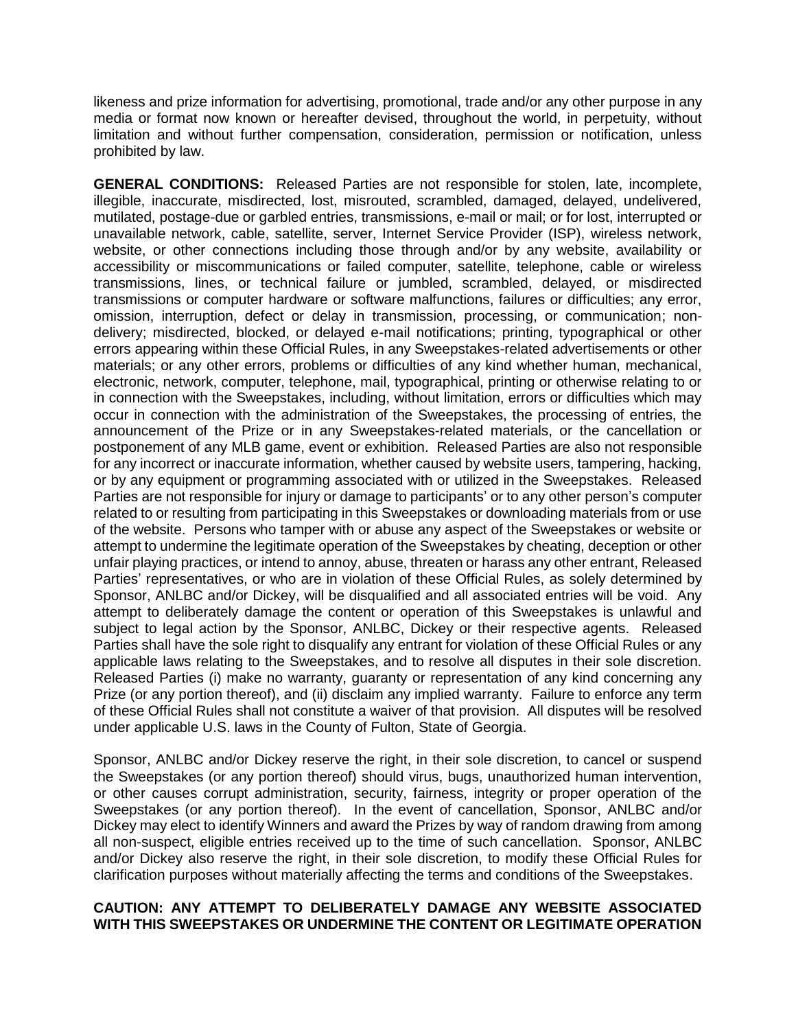likeness and prize information for advertising, promotional, trade and/or any other purpose in any media or format now known or hereafter devised, throughout the world, in perpetuity, without limitation and without further compensation, consideration, permission or notification, unless prohibited by law.

**GENERAL CONDITIONS:** Released Parties are not responsible for stolen, late, incomplete, illegible, inaccurate, misdirected, lost, misrouted, scrambled, damaged, delayed, undelivered, mutilated, postage-due or garbled entries, transmissions, e-mail or mail; or for lost, interrupted or unavailable network, cable, satellite, server, Internet Service Provider (ISP), wireless network, website, or other connections including those through and/or by any website, availability or accessibility or miscommunications or failed computer, satellite, telephone, cable or wireless transmissions, lines, or technical failure or jumbled, scrambled, delayed, or misdirected transmissions or computer hardware or software malfunctions, failures or difficulties; any error, omission, interruption, defect or delay in transmission, processing, or communication; nondelivery; misdirected, blocked, or delayed e-mail notifications; printing, typographical or other errors appearing within these Official Rules, in any Sweepstakes-related advertisements or other materials; or any other errors, problems or difficulties of any kind whether human, mechanical, electronic, network, computer, telephone, mail, typographical, printing or otherwise relating to or in connection with the Sweepstakes, including, without limitation, errors or difficulties which may occur in connection with the administration of the Sweepstakes, the processing of entries, the announcement of the Prize or in any Sweepstakes-related materials, or the cancellation or postponement of any MLB game, event or exhibition. Released Parties are also not responsible for any incorrect or inaccurate information, whether caused by website users, tampering, hacking, or by any equipment or programming associated with or utilized in the Sweepstakes. Released Parties are not responsible for injury or damage to participants' or to any other person's computer related to or resulting from participating in this Sweepstakes or downloading materials from or use of the website. Persons who tamper with or abuse any aspect of the Sweepstakes or website or attempt to undermine the legitimate operation of the Sweepstakes by cheating, deception or other unfair playing practices, or intend to annoy, abuse, threaten or harass any other entrant, Released Parties' representatives, or who are in violation of these Official Rules, as solely determined by Sponsor, ANLBC and/or Dickey, will be disqualified and all associated entries will be void. Any attempt to deliberately damage the content or operation of this Sweepstakes is unlawful and subject to legal action by the Sponsor, ANLBC, Dickey or their respective agents. Released Parties shall have the sole right to disqualify any entrant for violation of these Official Rules or any applicable laws relating to the Sweepstakes, and to resolve all disputes in their sole discretion. Released Parties (i) make no warranty, guaranty or representation of any kind concerning any Prize (or any portion thereof), and (ii) disclaim any implied warranty. Failure to enforce any term of these Official Rules shall not constitute a waiver of that provision. All disputes will be resolved under applicable U.S. laws in the County of Fulton, State of Georgia.

Sponsor, ANLBC and/or Dickey reserve the right, in their sole discretion, to cancel or suspend the Sweepstakes (or any portion thereof) should virus, bugs, unauthorized human intervention, or other causes corrupt administration, security, fairness, integrity or proper operation of the Sweepstakes (or any portion thereof). In the event of cancellation, Sponsor, ANLBC and/or Dickey may elect to identify Winners and award the Prizes by way of random drawing from among all non-suspect, eligible entries received up to the time of such cancellation. Sponsor, ANLBC and/or Dickey also reserve the right, in their sole discretion, to modify these Official Rules for clarification purposes without materially affecting the terms and conditions of the Sweepstakes.

## **CAUTION: ANY ATTEMPT TO DELIBERATELY DAMAGE ANY WEBSITE ASSOCIATED WITH THIS SWEEPSTAKES OR UNDERMINE THE CONTENT OR LEGITIMATE OPERATION**